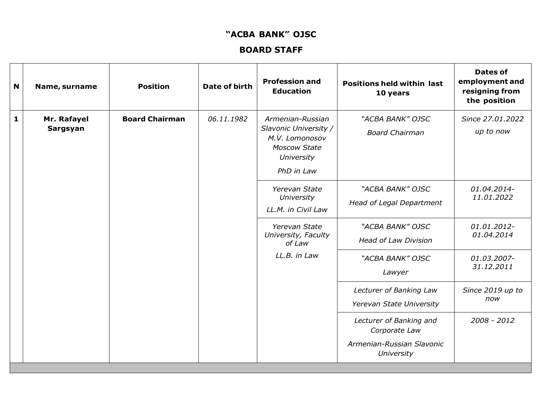## **"ACBA BANK" OJSC**

## **BOARD STAFF**

| N | Name, surname           | <b>Position</b>       | <b>Date of birth</b> | <b>Profession and</b><br><b>Education</b>                                                                      | <b>Positions held within last</b><br>10 years                                       | <b>Dates of</b><br>employment and<br>resigning from<br>the position |
|---|-------------------------|-----------------------|----------------------|----------------------------------------------------------------------------------------------------------------|-------------------------------------------------------------------------------------|---------------------------------------------------------------------|
| 1 | Mr. Rafayel<br>Sargsyan | <b>Board Chairman</b> | 06.11.1982           | Armenian-Russian<br>Slavonic University /<br>M.V. Lomonosov<br><b>Moscow State</b><br>University<br>PhD in Law | "ACBA BANK" OJSC<br><b>Board Chairman</b>                                           | Since 27.01.2022<br>up to now                                       |
|   |                         |                       |                      | Yerevan State<br>University<br>LL.M. in Civil Law                                                              | "ACBA BANK" OJSC<br>Head of Legal Department                                        | 01.04.2014-<br>11.01.2022                                           |
|   |                         |                       |                      | Yerevan State<br>University, Faculty<br>of Law                                                                 | "ACBA BANK" OJSC<br><b>Head of Law Division</b>                                     | 01.01.2012-<br>01.04.2014                                           |
|   |                         |                       |                      | $LL.B.$ in $Law$                                                                                               | "ACBA BANK" OJSC<br>Lawyer                                                          | 01.03.2007-<br>31.12.2011                                           |
|   |                         |                       |                      |                                                                                                                | Lecturer of Banking Law<br>Yerevan State University                                 | Since 2019 up to<br>now                                             |
|   |                         |                       |                      |                                                                                                                | Lecturer of Banking and<br>Corporate Law<br>Armenian-Russian Slavonic<br>University | 2008 - 2012                                                         |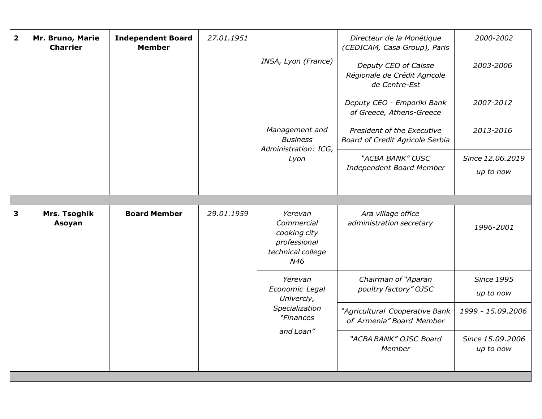| $\overline{\mathbf{2}}$ | Mr. Bruno, Marie<br><b>Charrier</b> | <b>Independent Board</b><br><b>Member</b> | 27.01.1951 |                                                                                   | Directeur de la Monétique<br>(CEDICAM, Casa Group), Paris<br>Deputy CEO of Caisse<br>Régionale de Crédit Agricole<br>de Centre-Est | 2000-2002                      |
|-------------------------|-------------------------------------|-------------------------------------------|------------|-----------------------------------------------------------------------------------|------------------------------------------------------------------------------------------------------------------------------------|--------------------------------|
|                         |                                     |                                           |            | INSA, Lyon (France)                                                               |                                                                                                                                    | 2003-2006                      |
|                         |                                     |                                           |            |                                                                                   | Deputy CEO - Emporiki Bank<br>of Greece, Athens-Greece                                                                             | 2007-2012                      |
|                         |                                     |                                           |            | Management and<br><b>Business</b><br>Administration: ICG,                         | President of the Executive<br><b>Board of Credit Agricole Serbia</b>                                                               | 2013-2016                      |
|                         |                                     |                                           |            | Lyon                                                                              | "ACBA BANK" OJSC<br>Independent Board Member                                                                                       | Since 12.06.2019<br>up to now  |
|                         |                                     |                                           |            |                                                                                   |                                                                                                                                    |                                |
| 3                       | Mrs. Tsoghik<br>Asoyan              | <b>Board Member</b>                       | 29.01.1959 | Yerevan<br>Commercial<br>cooking city<br>professional<br>technical college<br>N46 | Ara village office<br>administration secretary                                                                                     | 1996-2001                      |
|                         |                                     |                                           |            | Yerevan<br>Economic Legal<br>Univerciy,                                           | Chairman of "Aparan<br>poultry factory" OJSC                                                                                       | <b>Since 1995</b><br>up to now |
|                         |                                     |                                           |            | Specialization<br>"Finances<br>and Loan"                                          | "Agricultural Cooperative Bank<br>of Armenia" Board Member                                                                         | 1999 - 15.09.2006              |
|                         |                                     |                                           |            |                                                                                   | "ACBA BANK" OJSC Board<br>Member                                                                                                   | Since 15.09.2006<br>up to now  |
|                         |                                     |                                           |            |                                                                                   |                                                                                                                                    |                                |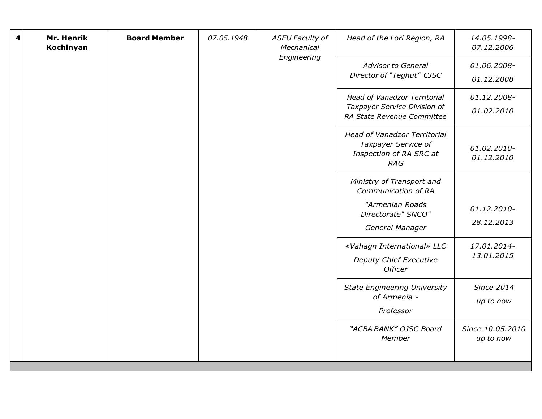| 4 | Mr. Henrik<br>Kochinyan | <b>Board Member</b> | 07.05.1948 | <b>ASEU Faculty of</b><br>Mechanical<br>Engineering | Head of the Lori Region, RA                                                                         | 14.05.1998-<br>07.12.2006      |
|---|-------------------------|---------------------|------------|-----------------------------------------------------|-----------------------------------------------------------------------------------------------------|--------------------------------|
|   |                         |                     |            |                                                     | <b>Advisor to General</b><br>Director of "Teghut" CJSC                                              | 01.06.2008-<br>01.12.2008      |
|   |                         |                     |            |                                                     | Head of Vanadzor Territorial<br>Taxpayer Service Division of<br>RA State Revenue Committee          | 01.12.2008-<br>01.02.2010      |
|   |                         |                     |            |                                                     | <b>Head of Vanadzor Territorial</b><br>Taxpayer Service of<br>Inspection of RA SRC at<br><b>RAG</b> | 01.02.2010-<br>01.12.2010      |
|   |                         |                     |            |                                                     | Ministry of Transport and<br>Communication of RA                                                    |                                |
|   |                         |                     |            |                                                     | "Armenian Roads<br>Directorate" SNCO"<br>General Manager                                            | 01.12.2010-<br>28.12.2013      |
|   |                         |                     |            |                                                     | «Vahagn International» LLC<br>Deputy Chief Executive<br><b>Officer</b>                              | 17.01.2014-<br>13.01.2015      |
|   |                         |                     |            |                                                     | <b>State Engineering University</b><br>of Armenia -<br>Professor                                    | <b>Since 2014</b><br>up to now |
|   |                         |                     |            |                                                     | "ACBA BANK" OJSC Board<br>Member                                                                    | Since 10.05.2010<br>up to now  |